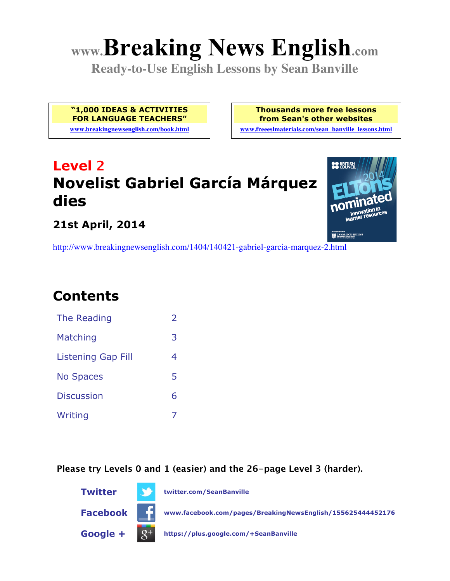# **www.Breaking News English.com**

**Ready-to-Use English Lessons by Sean Banville**

**"1,000 IDEAS & ACTIVITIES FOR LANGUAGE TEACHERS" www.breakingnewsenglish.com/book.html** **Thousands more free lessons from Sean's other websites**

**www.freeeslmaterials.com/sean\_banville\_lessons.html**

# **Level 2 Novelist Gabriel García Márquez dies**



#### **21st April, 2014**

http://www.breakingnewsenglish.com/1404/140421-gabriel-garcia-marquez-2.html

# **Contents**

| The Reading               | フ |
|---------------------------|---|
| Matching                  | З |
| <b>Listening Gap Fill</b> | 4 |
| <b>No Spaces</b>          | 5 |
| <b>Discussion</b>         | 6 |
| Writing                   |   |

**Please try Levels 0 and 1 (easier) and the 26-page Level 3 (harder).**

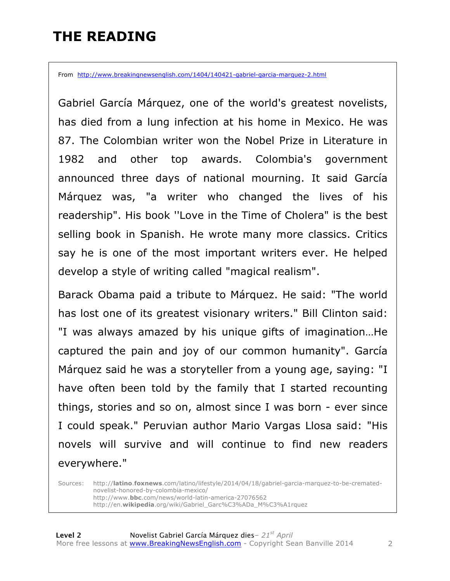### **THE READING**

From http://www.breakingnewsenglish.com/1404/140421-gabriel-garcia-marquez-2.html

Gabriel García Márquez, one of the world's greatest novelists, has died from a lung infection at his home in Mexico. He was 87. The Colombian writer won the Nobel Prize in Literature in 1982 and other top awards. Colombia's government announced three days of national mourning. It said García Márquez was, "a writer who changed the lives of his readership". His book ''Love in the Time of Cholera" is the best selling book in Spanish. He wrote many more classics. Critics say he is one of the most important writers ever. He helped develop a style of writing called "magical realism".

Barack Obama paid a tribute to Márquez. He said: "The world has lost one of its greatest visionary writers." Bill Clinton said: "I was always amazed by his unique gifts of imagination…He captured the pain and joy of our common humanity". García Márquez said he was a storyteller from a young age, saying: "I have often been told by the family that I started recounting things, stories and so on, almost since I was born - ever since I could speak." Peruvian author Mario Vargas Llosa said: "His novels will survive and will continue to find new readers everywhere."

Sources: http://**latino**.**foxnews**.com/latino/lifestyle/2014/04/18/gabriel-garcia-marquez-to-be-crematednovelist-honored-by-colombia-mexico/ http://www.**bbc**.com/news/world-latin-america-27076562 http://en.**wikipedia**.org/wiki/Gabriel\_Garc%C3%ADa\_M%C3%A1rquez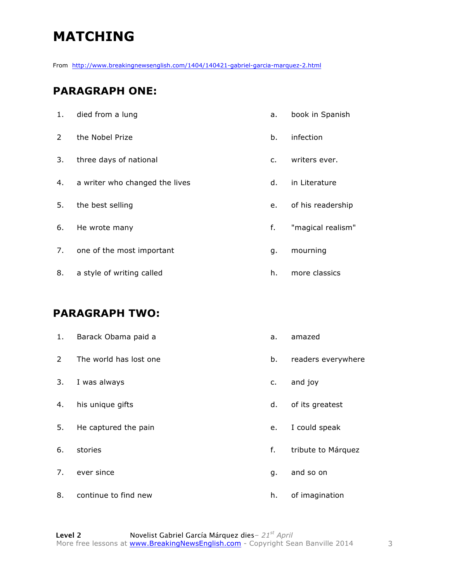# **MATCHING**

From http://www.breakingnewsenglish.com/1404/140421-gabriel-garcia-marquez-2.html

#### **PARAGRAPH ONE:**

| 1.            | died from a lung               | a.            | book in Spanish   |
|---------------|--------------------------------|---------------|-------------------|
| $\mathcal{P}$ | the Nobel Prize                | b.            | infection         |
| 3.            | three days of national         | $C_{\bullet}$ | writers ever.     |
| 4.            | a writer who changed the lives | d.            | in Literature     |
| 5.            | the best selling               | e.            | of his readership |
| 6.            | He wrote many                  | f.            | "magical realism" |
| 7.            | one of the most important      | g.            | mourning          |
| 8.            | a style of writing called      | h.            | more classics     |

#### **PARAGRAPH TWO:**

| 1.             | Barack Obama paid a    | a. | amazed             |
|----------------|------------------------|----|--------------------|
| $\overline{2}$ | The world has lost one | b. | readers everywhere |
| 3.             | I was always           | c. | and joy            |
| 4.             | his unique gifts       | d. | of its greatest    |
| 5.             | He captured the pain   | e. | I could speak      |
| 6.             | stories                | f. | tribute to Márquez |
| 7.             | ever since             | q. | and so on          |
| 8.             | continue to find new   | h. | of imagination     |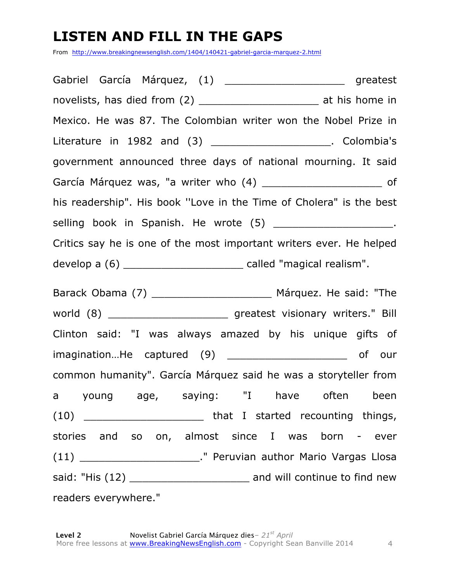# **LISTEN AND FILL IN THE GAPS**

From http://www.breakingnewsenglish.com/1404/140421-gabriel-garcia-marquez-2.html

| Gabriel García Márquez, (1) ___________________________ greatest           |
|----------------------------------------------------------------------------|
| novelists, has died from (2) ________________________ at his home in       |
| Mexico. He was 87. The Colombian writer won the Nobel Prize in             |
| Literature in 1982 and (3) ______________________. Colombia's              |
| government announced three days of national mourning. It said              |
| García Márquez was, "a writer who (4) _________________________ of         |
| his readership". His book "Love in the Time of Cholera" is the best        |
| selling book in Spanish. He wrote (5) _______________________.             |
| Critics say he is one of the most important writers ever. He helped        |
| develop a $(6)$ ________________________________ called "magical realism". |
|                                                                            |
|                                                                            |
| Clinton said: "I was always amazed by his unique gifts of                  |
| imaginationHe captured (9) __________________________ of our               |
| common humanity". García Márquez said he was a storyteller from            |
| a young age, saying: "I have often been                                    |
|                                                                            |
| stories and so on, almost since I was born - ever                          |
| (11) __________________________." Peruvian author Mario Vargas Llosa       |
| said: "His (12) ___________________________ and will continue to find new  |
| readers everywhere."                                                       |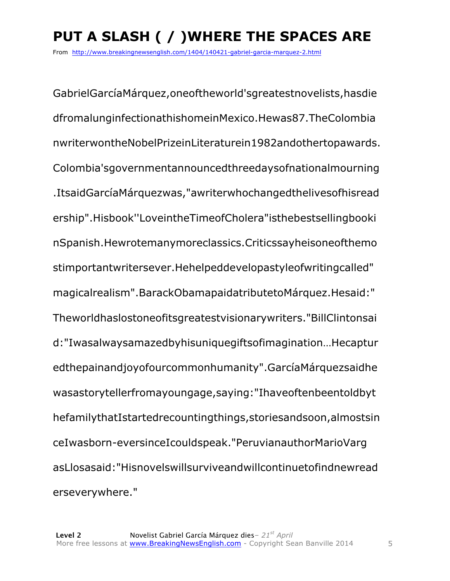From http://www.breakingnewsenglish.com/1404/140421-gabriel-garcia-marquez-2.html

GabrielGarcíaMárquez,oneoftheworld'sgreatestnovelists,hasdie dfromalunginfectionathishomeinMexico.Hewas87.TheColombia nwriterwontheNobelPrizeinLiteraturein1982andothertopawards. Colombia'sgovernmentannouncedthreedaysofnationalmourning .ItsaidGarcíaMárquezwas,"awriterwhochangedthelivesofhisread ership".Hisbook''LoveintheTimeofCholera"isthebestsellingbooki nSpanish.Hewrotemanymoreclassics.Criticssayheisoneofthemo stimportantwritersever.Hehelpeddevelopastyleofwritingcalled" magicalrealism".BarackObamapaidatributetoMárquez.Hesaid:" Theworldhaslostoneofitsgreatestvisionarywriters."BillClintonsai d:"Iwasalwaysamazedbyhisuniquegiftsofimagination…Hecaptur edthepainandjoyofourcommonhumanity".GarcíaMárquezsaidhe wasastorytellerfromayoungage,saying:"Ihaveoftenbeentoldbyt hefamilythatIstartedrecountingthings,storiesandsoon,almostsin ceIwasborn-eversinceIcouldspeak."PeruvianauthorMarioVarg asLlosasaid:"Hisnovelswillsurviveandwillcontinuetofindnewread erseverywhere."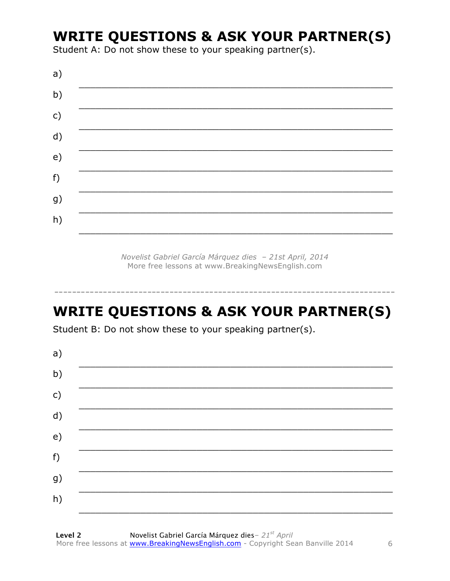## **WRITE QUESTIONS & ASK YOUR PARTNER(S)**

Student A: Do not show these to your speaking partner(s).

| a)            |  |
|---------------|--|
| b)            |  |
| $\mathsf{c})$ |  |
| d)            |  |
| e)            |  |
| f)            |  |
| g)            |  |
| h)            |  |
|               |  |

Novelist Gabriel García Márquez dies - 21st April, 2014 More free lessons at www.BreakingNewsEnglish.com

# **WRITE QUESTIONS & ASK YOUR PARTNER(S)**

Student B: Do not show these to your speaking partner(s).